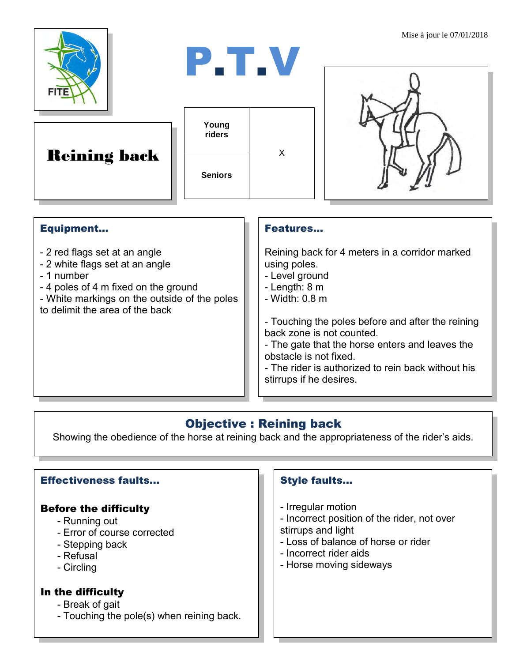

Reining back

| Young<br>riders |   |
|-----------------|---|
| <b>Seniors</b>  | x |

P.T.V



## Equipment...

- 2 red flags set at an angle
- 2 white flags set at an angle
- 1 number
- 4 poles of 4 m fixed on the ground
- White markings on the outside of the poles to delimit the area of the back

### Features…

Reining back for 4 meters in a corridor marked using poles.

- Level ground
- Length: 8 m
- Width: 0.8 m

- Touching the poles before and after the reining back zone is not counted.

- The gate that the horse enters and leaves the obstacle is not fixed.

- The rider is authorized to rein back without his stirrups if he desires.

# Objective : Reining back

Showing the obedience of the horse at reining back and the appropriateness of the rider's aids.

## Effectiveness faults…

## Before the difficulty

- Running out
- Error of course corrected
- Stepping back
- Refusal
- Circling

#### In the difficulty

- Break of gait
- Touching the pole(s) when reining back.

## Style faults…

- Irregular motion
- Incorrect position of the rider, not over stirrups and light
- Loss of balance of horse or rider
- Incorrect rider aids
- Horse moving sideways